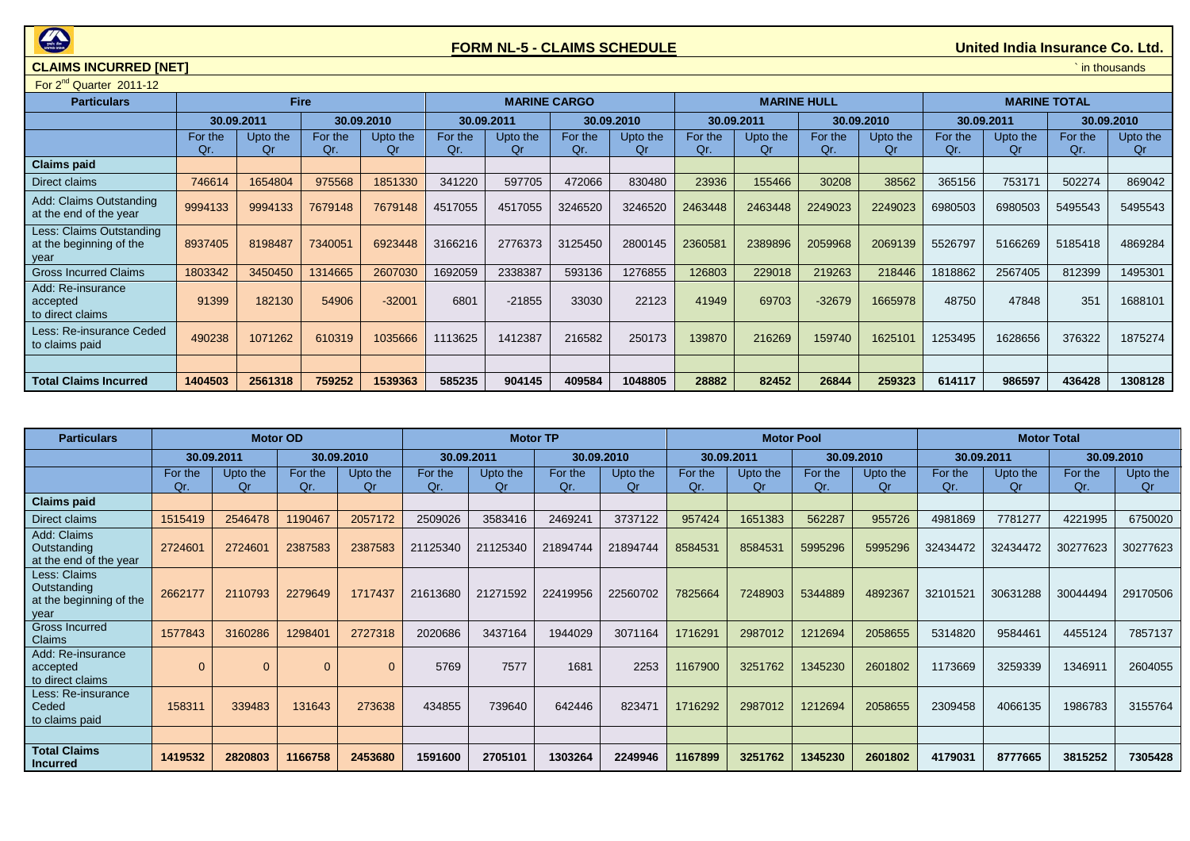

## **CLAIMS INCURRED [NET]**  $\blacksquare$  in the contract of the contract of the contract of the contract of the contract of the contract of the contract of the contract of the contract of the contract of the contract of the contract  $\sqrt{\frac{200}{2}}$  Quarter 2011-12

|  | thousands |  |
|--|-----------|--|
|  |           |  |

| Quarter ZUTT-TZ                                             |                |                |                |                |                |                |                     |                |                |                |                    |                |                     |                |                |                |
|-------------------------------------------------------------|----------------|----------------|----------------|----------------|----------------|----------------|---------------------|----------------|----------------|----------------|--------------------|----------------|---------------------|----------------|----------------|----------------|
| <b>Particulars</b>                                          |                | <b>Fire</b>    |                |                |                |                | <b>MARINE CARGO</b> |                |                |                | <b>MARINE HULL</b> |                | <b>MARINE TOTAL</b> |                |                |                |
|                                                             |                | 30.09.2011     | 30.09.2010     |                |                | 30.09.2011     |                     | 30.09.2010     |                | 30.09.2011     |                    | 30.09.2010     |                     | 30.09.2011     |                | 30.09.2010     |
|                                                             | For the<br>Qr. | Upto the<br>Or | For the<br>Qr. | Upto the<br>Or | For the<br>Qr. | Upto the<br>Or | For the<br>Qr.      | Upto the<br>Or | For the<br>Qr. | Upto the<br>Qr | For the<br>Qr.     | Upto the<br>Or | For the<br>Qr.      | Upto the<br>Or | For the<br>Qr. | Upto the<br>Or |
| <b>Claims paid</b>                                          |                |                |                |                |                |                |                     |                |                |                |                    |                |                     |                |                |                |
| Direct claims                                               | 746614         | 1654804        | 975568         | 1851330        | 341220         | 597705         | 472066              | 830480         | 23936          | 155466         | 30208              | 38562          | 365156              | 753171         | 502274         | 869042         |
| Add: Claims Outstanding<br>at the end of the year           | 9994133        | 9994133        | 7679148        | 7679148        | 4517055        | 4517055        | 3246520             | 3246520        | 2463448        | 2463448        | 2249023            | 2249023        | 6980503             | 6980503        | 5495543        | 5495543        |
| Less: Claims Outstanding<br>at the beginning of the<br>year | 8937405        | 8198487        | 7340051        | 6923448        | 3166216        | 2776373        | 3125450             | 2800145        | 2360581        | 2389896        | 2059968            | 2069139        | 5526797             | 5166269        | 5185418        | 4869284        |
| <b>Gross Incurred Claims</b>                                | 1803342        | 3450450        | 1314665        | 2607030        | 1692059        | 2338387        | 593136              | 1276855        | 126803         | 229018         | 219263             | 218446         | 1818862             | 2567405        | 812399         | 1495301        |
| Add: Re-insurance<br>accepted<br>to direct claims           | 91399          | 182130         | 54906          | $-32001$       | 6801           | $-21855$       | 33030               | 22123          | 41949          | 69703          | $-32679$           | 1665978        | 48750               | 47848          | 35'            | 1688101        |
| Less: Re-insurance Ceded<br>to claims paid                  | 490238         | 1071262        | 610319         | 1035666        | 1113625        | 1412387        | 216582              | 250173         | 139870         | 216269         | 159740             | 1625101        | 1253495             | 1628656        | 376322         | 1875274        |
|                                                             |                |                |                |                |                |                |                     |                |                |                |                    |                |                     |                |                |                |
| <b>Total Claims Incurred</b>                                | 1404503        | 2561318        | 759252         | 1539363        | 585235         | 904145         | 409584              | 1048805        | 28882          | 82452          | 26844              | 259323         | 614117              | 986597         | 436428         | 1308128        |

| <b>Particulars</b>                                             | <b>Motor OD</b>          |                |                          |                | <b>Motor TP</b> |                          |                |                |                | <b>Motor Pool</b> |                |                |                | <b>Motor Total</b> |                |                |  |
|----------------------------------------------------------------|--------------------------|----------------|--------------------------|----------------|-----------------|--------------------------|----------------|----------------|----------------|-------------------|----------------|----------------|----------------|--------------------|----------------|----------------|--|
|                                                                | 30.09.2011<br>30.09.2010 |                | 30.09.2011<br>30.09.2010 |                |                 | 30.09.2011<br>30.09.2010 |                |                | 30.09.2011     |                   | 30.09.2010     |                |                |                    |                |                |  |
|                                                                | For the<br>Qr.           | Upto the<br>Or | For the<br>Оr.           | Upto the<br>0r | For the<br>Qr.  | Upto the<br>Or           | For the<br>Or. | Upto the<br>Or | For the<br>Or. | Upto the<br>Or    | For the<br>Or. | Upto the<br>Or | For the<br>Or. | Upto the<br>Or     | For the<br>Or. | Upto the<br>Qr |  |
| <b>Claims paid</b>                                             |                          |                |                          |                |                 |                          |                |                |                |                   |                |                |                |                    |                |                |  |
| Direct claims                                                  | 1515419                  | 2546478        | 1190467                  | 2057172        | 2509026         | 3583416                  | 2469241        | 3737122        | 957424         | 1651383           | 562287         | 955726         | 4981869        | 7781277            | 4221995        | 6750020        |  |
| Add: Claims<br>Outstanding<br>at the end of the year           | 2724601                  | 2724601        | 2387583                  | 2387583        | 21125340        | 21125340                 | 21894744       | 21894744       | 8584531        | 858453            | 5995296        | 5995296        | 32434472       | 32434472           | 30277623       | 30277623       |  |
| Less: Claims<br>Outstanding<br>at the beginning of the<br>year | 2662177                  | 2110793        | 2279649                  | 1717437        | 21613680        | 21271592                 | 22419956       | 22560702       | 7825664        | 7248903           | 5344889        | 4892367        | 32101521       | 30631288           | 30044494       | 29170506       |  |
| <b>Gross Incurred</b><br>Claims                                | 1577843                  | 3160286        | 1298401                  | 2727318        | 2020686         | 3437164                  | 1944029        | 3071164        | 1716291        | 2987012           | 1212694        | 2058655        | 5314820        | 9584461            | 4455124        | 7857137        |  |
| Add: Re-insurance<br>accepted<br>to direct claims              | $\overline{0}$           | $\Omega$       | $\Omega$                 |                | 5769            | 7577                     | 1681           | 2253           | 1167900        | 3251762           | 1345230        | 2601802        | 1173669        | 3259339            | 134691'        | 2604055        |  |
| Less: Re-insurance<br>Ceded<br>to claims paid                  | 158311                   | 339483         | 131643                   | 273638         | 434855          | 739640                   | 642446         | 82347          | 1716292        | 2987012           | 1212694        | 2058655        | 2309458        | 4066135            | 1986783        | 3155764        |  |
|                                                                |                          |                |                          |                |                 |                          |                |                |                |                   |                |                |                |                    |                |                |  |
| <b>Total Claims</b><br><b>Incurred</b>                         | 1419532                  | 2820803        | 1166758                  | 2453680        | 1591600         | 2705101                  | 1303264        | 2249946        | 1167899        | 3251762           | 1345230        | 2601802        | 4179031        | 8777665            | 3815252        | 7305428        |  |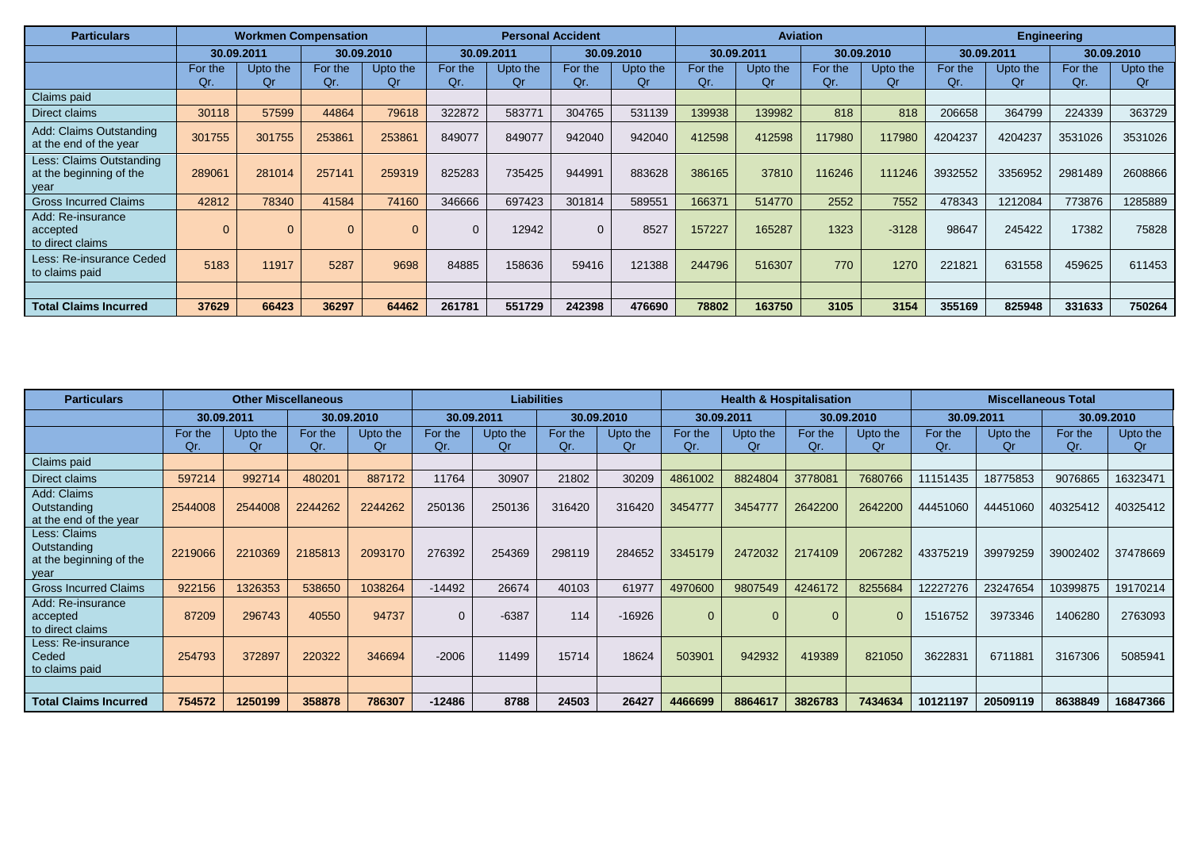| <b>Particulars</b>                                          | <b>Workmen Compensation</b> |                |                |                |                |                | <b>Personal Accident</b> |                 | <b>Aviation</b> |                |                |                | <b>Engineering</b> |                |                |                |
|-------------------------------------------------------------|-----------------------------|----------------|----------------|----------------|----------------|----------------|--------------------------|-----------------|-----------------|----------------|----------------|----------------|--------------------|----------------|----------------|----------------|
|                                                             | 30.09.2011                  |                | 30.09.2010     |                |                | 30.09.2011     |                          | 30.09.2010      |                 | 30.09.2011     |                | 30.09.2010     |                    | 30.09.2011     | 30.09.2010     |                |
|                                                             | For the<br>Qr.              | Upto the<br>Or | For the<br>Qr. | Upto the<br>Or | For the<br>Qr. | Upto the<br>Or | For the<br>Qr.           | Upto the<br>Or. | For the<br>Qr.  | Upto the<br>Or | For the<br>Qr. | Upto the<br>Or | For the<br>Qr.     | Upto the<br>Or | For the<br>Or. | Upto the<br>Qr |
| Claims paid                                                 |                             |                |                |                |                |                |                          |                 |                 |                |                |                |                    |                |                |                |
| Direct claims                                               | 30118                       | 57599          | 44864          | 79618          | 322872         | 583771         | 304765                   | 531139          | 139938          | 139982         | 818            | 818            | 206658             | 364799         | 224339         | 363729         |
| Add: Claims Outstanding<br>at the end of the year           | 301755                      | 301755         | 253861         | 253861         | 849077         | 849077         | 942040                   | 942040          | 412598          | 412598         | 117980         | 117980         | 4204237            | 4204237        | 3531026        | 3531026        |
| Less: Claims Outstanding<br>at the beginning of the<br>year | 289061                      | 281014         | 257141         | 259319         | 825283         | 735425         | 944991                   | 883628          | 386165          | 37810          | 116246         | 111246         | 3932552            | 3356952        | 2981489        | 2608866        |
| <b>Gross Incurred Claims</b>                                | 42812                       | 78340          | 41584          | 74160          | 346666         | 697423         | 301814                   | 589551          | 166371          | 514770         | 2552           | 7552           | 478343             | 1212084        | 773876         | 1285889        |
| Add: Re-insurance<br>accepted<br>to direct claims           | $\Omega$                    | $\Omega$       |                | $\Omega$       |                | 12942          | $\Omega$                 | 8527            | 157227          | 165287         | 1323           | $-3128$        | 98647              | 245422         | 17382          | 75828          |
| Less: Re-insurance Ceded<br>to claims paid                  | 5183                        | 11917          | 5287           | 9698           | 84885          | 158636         | 59416                    | 121388          | 244796          | 516307         | 770            | 1270           | 221821             | 631558         | 459625         | 611453         |
|                                                             |                             |                |                |                |                |                |                          |                 |                 |                |                |                |                    |                |                |                |
| <b>Total Claims Incurred</b>                                | 37629                       | 66423          | 36297          | 64462          | 261781         | 551729         | 242398                   | 476690          | 78802           | 163750         | 3105           | 3154           | 355169             | 825948         | 331633         | 750264         |

| <b>Particulars</b>                                             |                |                | <b>Other Miscellaneous</b> |                | <b>Liabilities</b> |                |                |                |                | <b>Health &amp; Hospitalisation</b> |                |                | <b>Miscellaneous Total</b> |                |                |                |
|----------------------------------------------------------------|----------------|----------------|----------------------------|----------------|--------------------|----------------|----------------|----------------|----------------|-------------------------------------|----------------|----------------|----------------------------|----------------|----------------|----------------|
|                                                                | 30.09.2011     |                | 30.09.2010                 |                |                    | 30.09.2011     |                | 30.09.2010     |                | 30.09.2011                          |                | 30.09.2010     | 30.09.2011                 |                |                | 30.09.2010     |
|                                                                | For the<br>Qr. | Upto the<br>Or | For the<br>Qr.             | Upto the<br>Or | For the<br>Qr.     | Upto the<br>Or | For the<br>Qr. | Upto the<br>Or | For the<br>Qr. | Upto the<br>Or                      | For the<br>Qr. | Upto the<br>Or | For the<br>Qr.             | Upto the<br>Or | For the<br>Qr. | Upto the<br>Or |
| Claims paid                                                    |                |                |                            |                |                    |                |                |                |                |                                     |                |                |                            |                |                |                |
| Direct claims                                                  | 597214         | 992714         | 480201                     | 887172         | 11764              | 30907          | 21802          | 30209          | 4861002        | 8824804                             | 3778081        | 7680766        | 11151435                   | 18775853       | 9076865        | 16323471       |
| Add: Claims<br>Outstanding<br>at the end of the year           | 2544008        | 2544008        | 2244262                    | 2244262        | 250136             | 250136         | 316420         | 316420         | 3454777        | 3454777                             | 2642200        | 2642200        | 44451060                   | 44451060       | 40325412       | 40325412       |
| Less: Claims<br>Outstanding<br>at the beginning of the<br>year | 2219066        | 2210369        | 2185813                    | 2093170        | 276392             | 254369         | 298119         | 284652         | 3345179        | 2472032                             | 2174109        | 2067282        | 43375219                   | 39979259       | 39002402       | 37478669       |
| <b>Gross Incurred Claims</b>                                   | 922156         | 1326353        | 538650                     | 1038264        | $-14492$           | 26674          | 40103          | 61977          | 4970600        | 9807549                             | 4246172        | 8255684        | 12227276                   | 23247654       | 10399875       | 19170214       |
| Add: Re-insurance<br>accepted<br>to direct claims              | 87209          | 296743         | 40550                      | 94737          | $\Omega$           | $-6387$        | 114            | $-16926$       | $\Omega$       | $\Omega$                            | $\Omega$       | $\Omega$       | 1516752                    | 3973346        | 1406280        | 2763093        |
| Less: Re-insurance<br>Ceded<br>to claims paid                  | 254793         | 372897         | 220322                     | 346694         | $-2006$            | 11499          | 15714          | 18624          | 503901         | 942932                              | 419389         | 821050         | 3622831                    | 6711881        | 3167306        | 5085941        |
|                                                                |                |                |                            |                |                    |                |                |                |                |                                     |                |                |                            |                |                |                |
| <b>Total Claims Incurred</b>                                   | 754572         | 1250199        | 358878                     | 786307         | $-12486$           | 8788           | 24503          | 26427          | 4466699        | 8864617                             | 3826783        | 7434634        | 10121197                   | 20509119       | 8638849        | 16847366       |